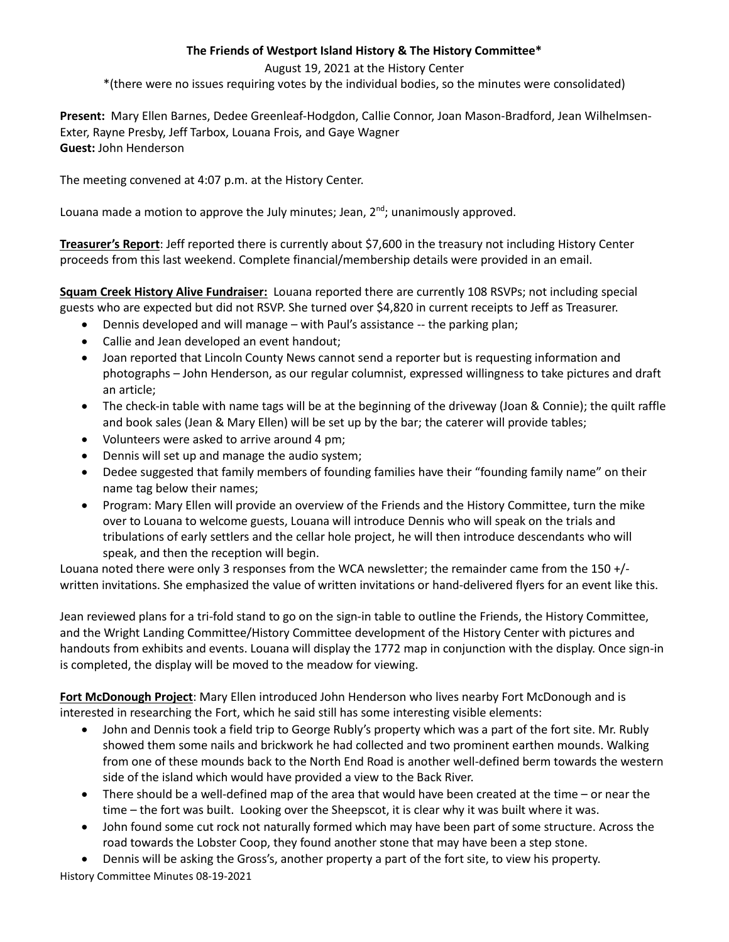## **The Friends of Westport Island History & The History Committee\***

August 19, 2021 at the History Center

\*(there were no issues requiring votes by the individual bodies, so the minutes were consolidated)

**Present:** Mary Ellen Barnes, Dedee Greenleaf-Hodgdon, Callie Connor, Joan Mason-Bradford, Jean Wilhelmsen-Exter, Rayne Presby, Jeff Tarbox, Louana Frois, and Gaye Wagner **Guest:** John Henderson

The meeting convened at 4:07 p.m. at the History Center.

Louana made a motion to approve the July minutes; Jean,  $2<sup>nd</sup>$ ; unanimously approved.

**Treasurer's Report**: Jeff reported there is currently about \$7,600 in the treasury not including History Center proceeds from this last weekend. Complete financial/membership details were provided in an email.

**Squam Creek History Alive Fundraiser:** Louana reported there are currently 108 RSVPs; not including special guests who are expected but did not RSVP. She turned over \$4,820 in current receipts to Jeff as Treasurer.

- Dennis developed and will manage with Paul's assistance -- the parking plan;
- Callie and Jean developed an event handout;
- Joan reported that Lincoln County News cannot send a reporter but is requesting information and photographs – John Henderson, as our regular columnist, expressed willingness to take pictures and draft an article;
- The check-in table with name tags will be at the beginning of the driveway (Joan & Connie); the quilt raffle and book sales (Jean & Mary Ellen) will be set up by the bar; the caterer will provide tables;
- Volunteers were asked to arrive around 4 pm;
- Dennis will set up and manage the audio system;
- Dedee suggested that family members of founding families have their "founding family name" on their name tag below their names;
- Program: Mary Ellen will provide an overview of the Friends and the History Committee, turn the mike over to Louana to welcome guests, Louana will introduce Dennis who will speak on the trials and tribulations of early settlers and the cellar hole project, he will then introduce descendants who will speak, and then the reception will begin.

Louana noted there were only 3 responses from the WCA newsletter; the remainder came from the 150 +/ written invitations. She emphasized the value of written invitations or hand-delivered flyers for an event like this.

Jean reviewed plans for a tri-fold stand to go on the sign-in table to outline the Friends, the History Committee, and the Wright Landing Committee/History Committee development of the History Center with pictures and handouts from exhibits and events. Louana will display the 1772 map in conjunction with the display. Once sign-in is completed, the display will be moved to the meadow for viewing.

**Fort McDonough Project**: Mary Ellen introduced John Henderson who lives nearby Fort McDonough and is interested in researching the Fort, which he said still has some interesting visible elements:

- John and Dennis took a field trip to George Rubly's property which was a part of the fort site. Mr. Rubly showed them some nails and brickwork he had collected and two prominent earthen mounds. Walking from one of these mounds back to the North End Road is another well-defined berm towards the western side of the island which would have provided a view to the Back River.
- There should be a well-defined map of the area that would have been created at the time or near the time – the fort was built. Looking over the Sheepscot, it is clear why it was built where it was.
- John found some cut rock not naturally formed which may have been part of some structure. Across the road towards the Lobster Coop, they found another stone that may have been a step stone.

History Committee Minutes 08-19-2021 • Dennis will be asking the Gross's, another property a part of the fort site, to view his property.